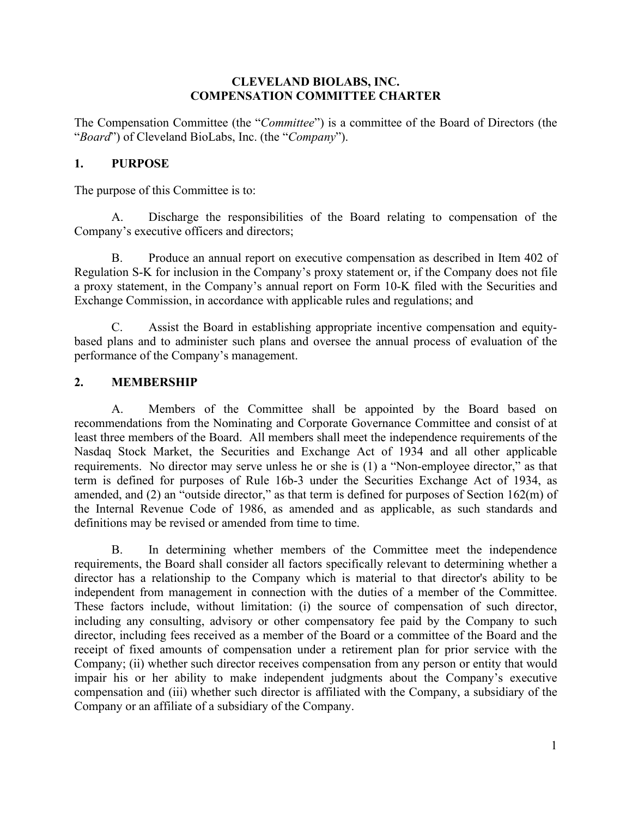#### **CLEVELAND BIOLABS, INC. COMPENSATION COMMITTEE CHARTER**

The Compensation Committee (the "*Committee*") is a committee of the Board of Directors (the "*Board*") of Cleveland BioLabs, Inc. (the "*Company*").

#### **1. PURPOSE**

The purpose of this Committee is to:

A. Discharge the responsibilities of the Board relating to compensation of the Company's executive officers and directors;

B. Produce an annual report on executive compensation as described in Item 402 of Regulation S-K for inclusion in the Company's proxy statement or, if the Company does not file a proxy statement, in the Company's annual report on Form 10-K filed with the Securities and Exchange Commission, in accordance with applicable rules and regulations; and

C. Assist the Board in establishing appropriate incentive compensation and equitybased plans and to administer such plans and oversee the annual process of evaluation of the performance of the Company's management.

#### **2. MEMBERSHIP**

A. Members of the Committee shall be appointed by the Board based on recommendations from the Nominating and Corporate Governance Committee and consist of at least three members of the Board. All members shall meet the independence requirements of the Nasdaq Stock Market, the Securities and Exchange Act of 1934 and all other applicable requirements. No director may serve unless he or she is (1) a "Non-employee director," as that term is defined for purposes of Rule 16b-3 under the Securities Exchange Act of 1934, as amended, and (2) an "outside director," as that term is defined for purposes of Section 162(m) of the Internal Revenue Code of 1986, as amended and as applicable, as such standards and definitions may be revised or amended from time to time.

B. In determining whether members of the Committee meet the independence requirements, the Board shall consider all factors specifically relevant to determining whether a director has a relationship to the Company which is material to that director's ability to be independent from management in connection with the duties of a member of the Committee. These factors include, without limitation: (i) the source of compensation of such director, including any consulting, advisory or other compensatory fee paid by the Company to such director, including fees received as a member of the Board or a committee of the Board and the receipt of fixed amounts of compensation under a retirement plan for prior service with the Company; (ii) whether such director receives compensation from any person or entity that would impair his or her ability to make independent judgments about the Company's executive compensation and (iii) whether such director is affiliated with the Company, a subsidiary of the Company or an affiliate of a subsidiary of the Company.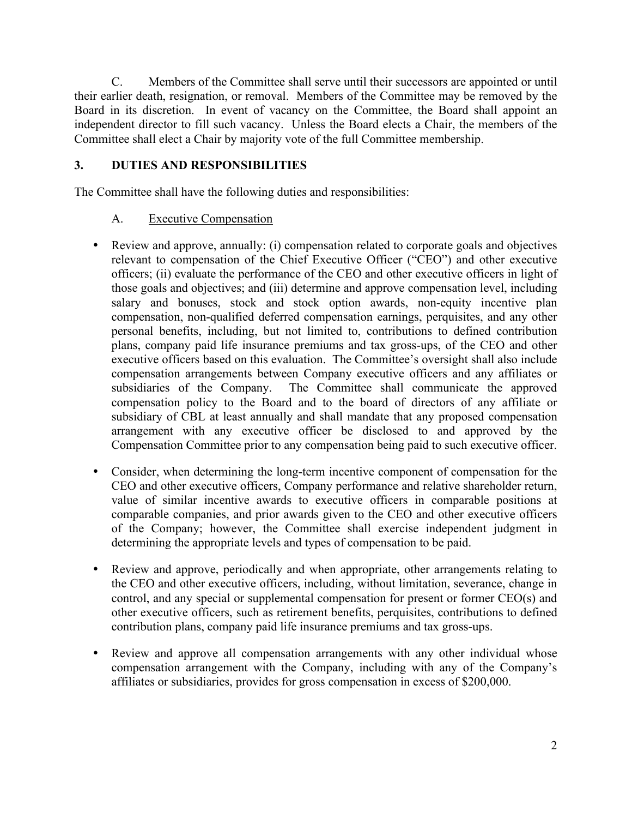C. Members of the Committee shall serve until their successors are appointed or until their earlier death, resignation, or removal. Members of the Committee may be removed by the Board in its discretion. In event of vacancy on the Committee, the Board shall appoint an independent director to fill such vacancy. Unless the Board elects a Chair, the members of the Committee shall elect a Chair by majority vote of the full Committee membership.

## **3. DUTIES AND RESPONSIBILITIES**

The Committee shall have the following duties and responsibilities:

# A. Executive Compensation

- Review and approve, annually: (i) compensation related to corporate goals and objectives relevant to compensation of the Chief Executive Officer ("CEO") and other executive officers; (ii) evaluate the performance of the CEO and other executive officers in light of those goals and objectives; and (iii) determine and approve compensation level, including salary and bonuses, stock and stock option awards, non-equity incentive plan compensation, non-qualified deferred compensation earnings, perquisites, and any other personal benefits, including, but not limited to, contributions to defined contribution plans, company paid life insurance premiums and tax gross-ups, of the CEO and other executive officers based on this evaluation. The Committee's oversight shall also include compensation arrangements between Company executive officers and any affiliates or subsidiaries of the Company. The Committee shall communicate the approved compensation policy to the Board and to the board of directors of any affiliate or subsidiary of CBL at least annually and shall mandate that any proposed compensation arrangement with any executive officer be disclosed to and approved by the Compensation Committee prior to any compensation being paid to such executive officer.
- Consider, when determining the long-term incentive component of compensation for the CEO and other executive officers, Company performance and relative shareholder return, value of similar incentive awards to executive officers in comparable positions at comparable companies, and prior awards given to the CEO and other executive officers of the Company; however, the Committee shall exercise independent judgment in determining the appropriate levels and types of compensation to be paid.
- Review and approve, periodically and when appropriate, other arrangements relating to the CEO and other executive officers, including, without limitation, severance, change in control, and any special or supplemental compensation for present or former CEO(s) and other executive officers, such as retirement benefits, perquisites, contributions to defined contribution plans, company paid life insurance premiums and tax gross-ups.
- Review and approve all compensation arrangements with any other individual whose compensation arrangement with the Company, including with any of the Company's affiliates or subsidiaries, provides for gross compensation in excess of \$200,000.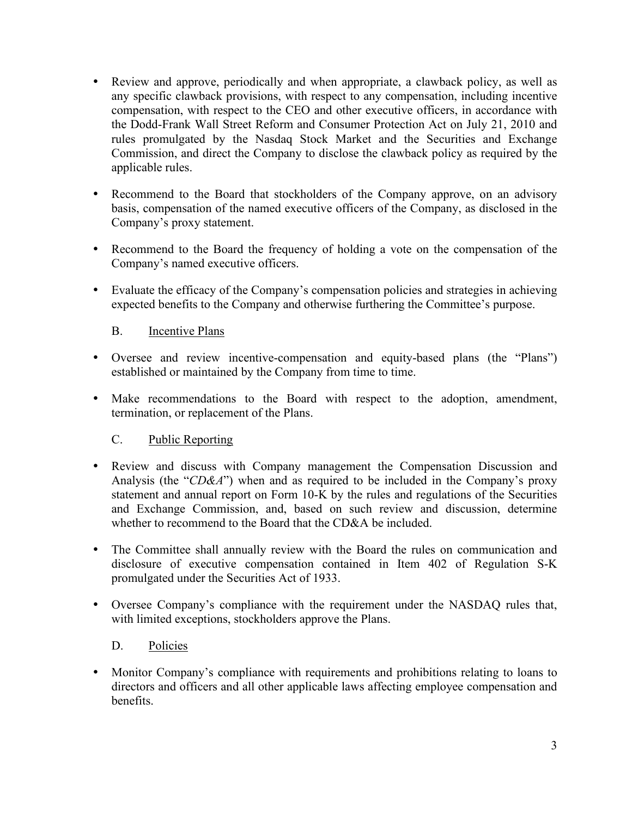- Review and approve, periodically and when appropriate, a clawback policy, as well as any specific clawback provisions, with respect to any compensation, including incentive compensation, with respect to the CEO and other executive officers, in accordance with the Dodd-Frank Wall Street Reform and Consumer Protection Act on July 21, 2010 and rules promulgated by the Nasdaq Stock Market and the Securities and Exchange Commission, and direct the Company to disclose the clawback policy as required by the applicable rules.
- Recommend to the Board that stockholders of the Company approve, on an advisory basis, compensation of the named executive officers of the Company, as disclosed in the Company's proxy statement.
- Recommend to the Board the frequency of holding a vote on the compensation of the Company's named executive officers.
- Evaluate the efficacy of the Company's compensation policies and strategies in achieving expected benefits to the Company and otherwise furthering the Committee's purpose.

### B. Incentive Plans

- Oversee and review incentive-compensation and equity-based plans (the "Plans") established or maintained by the Company from time to time.
- Make recommendations to the Board with respect to the adoption, amendment, termination, or replacement of the Plans.

### C. Public Reporting

- Review and discuss with Company management the Compensation Discussion and Analysis (the "*CD&A*") when and as required to be included in the Company's proxy statement and annual report on Form 10-K by the rules and regulations of the Securities and Exchange Commission, and, based on such review and discussion, determine whether to recommend to the Board that the CD&A be included.
- The Committee shall annually review with the Board the rules on communication and disclosure of executive compensation contained in Item 402 of Regulation S-K promulgated under the Securities Act of 1933.
- Oversee Company's compliance with the requirement under the NASDAQ rules that, with limited exceptions, stockholders approve the Plans.

### D. Policies

 Monitor Company's compliance with requirements and prohibitions relating to loans to directors and officers and all other applicable laws affecting employee compensation and benefits.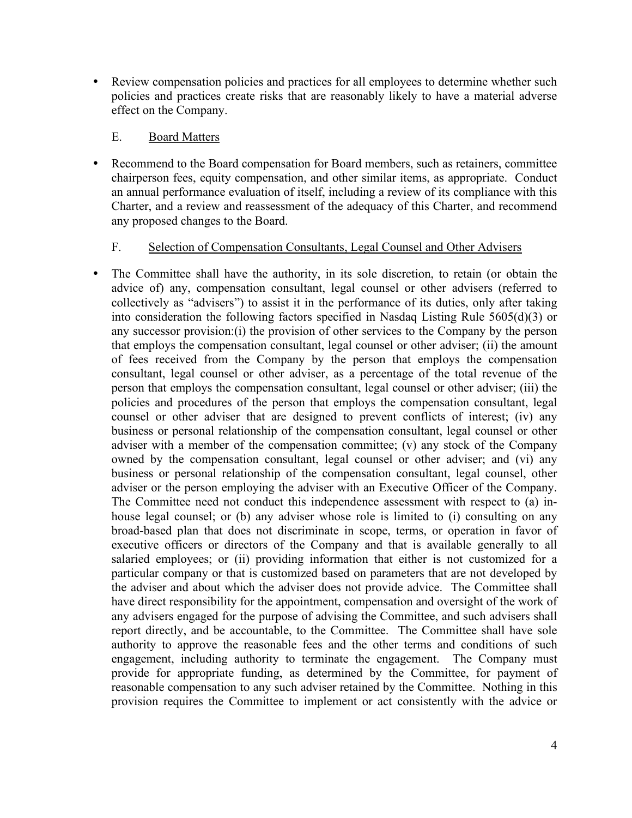Review compensation policies and practices for all employees to determine whether such policies and practices create risks that are reasonably likely to have a material adverse effect on the Company.

#### E. Board Matters

 Recommend to the Board compensation for Board members, such as retainers, committee chairperson fees, equity compensation, and other similar items, as appropriate. Conduct an annual performance evaluation of itself, including a review of its compliance with this Charter, and a review and reassessment of the adequacy of this Charter, and recommend any proposed changes to the Board.

### F. Selection of Compensation Consultants, Legal Counsel and Other Advisers

 The Committee shall have the authority, in its sole discretion, to retain (or obtain the advice of) any, compensation consultant, legal counsel or other advisers (referred to collectively as "advisers") to assist it in the performance of its duties, only after taking into consideration the following factors specified in Nasdaq Listing Rule 5605(d)(3) or any successor provision:(i) the provision of other services to the Company by the person that employs the compensation consultant, legal counsel or other adviser; (ii) the amount of fees received from the Company by the person that employs the compensation consultant, legal counsel or other adviser, as a percentage of the total revenue of the person that employs the compensation consultant, legal counsel or other adviser; (iii) the policies and procedures of the person that employs the compensation consultant, legal counsel or other adviser that are designed to prevent conflicts of interest; (iv) any business or personal relationship of the compensation consultant, legal counsel or other adviser with a member of the compensation committee; (v) any stock of the Company owned by the compensation consultant, legal counsel or other adviser; and (vi) any business or personal relationship of the compensation consultant, legal counsel, other adviser or the person employing the adviser with an Executive Officer of the Company. The Committee need not conduct this independence assessment with respect to (a) inhouse legal counsel; or (b) any adviser whose role is limited to (i) consulting on any broad-based plan that does not discriminate in scope, terms, or operation in favor of executive officers or directors of the Company and that is available generally to all salaried employees; or (ii) providing information that either is not customized for a particular company or that is customized based on parameters that are not developed by the adviser and about which the adviser does not provide advice. The Committee shall have direct responsibility for the appointment, compensation and oversight of the work of any advisers engaged for the purpose of advising the Committee, and such advisers shall report directly, and be accountable, to the Committee. The Committee shall have sole authority to approve the reasonable fees and the other terms and conditions of such engagement, including authority to terminate the engagement. The Company must provide for appropriate funding, as determined by the Committee, for payment of reasonable compensation to any such adviser retained by the Committee. Nothing in this provision requires the Committee to implement or act consistently with the advice or